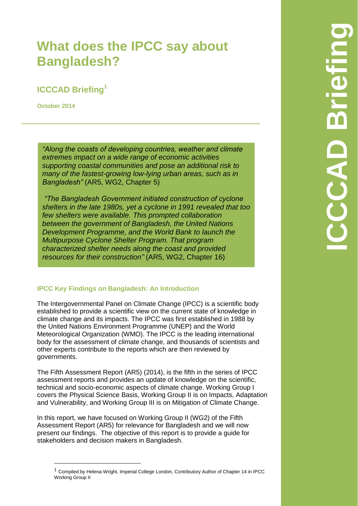# **What does the IPCC say about Bangladesh?**

# **ICCCAD Briefing<sup>1</sup>**

**October 2014**

 $\overline{a}$ 

*"Along the coasts of developing countries, weather and climate extremes impact on a wide range of economic activities supporting coastal communities and pose an additional risk to many of the fastest-growing low-lying urban areas, such as in Bangladesh"* (AR5, WG2, Chapter 5)

*"The Bangladesh Government initiated construction of cyclone shelters in the late 1980s, yet a cyclone in 1991 revealed that too few shelters were available. This prompted collaboration between the government of Bangladesh, the United Nations Development Programme, and the World Bank to launch the Multipurpose Cyclone Shelter Program. That program characterized shelter needs along the coast and provided resources for their construction"* (AR5, WG2, Chapter 16)

# **IPCC Key Findings on Bangladesh: An Introduction**

The Intergovernmental Panel on Climate Change (IPCC) is a scientific body established to provide a scientific view on the current state of knowledge in climate change and its impacts. The IPCC was first established in 1988 by the [United Nations Environment Programme \(UNEP\)](http://www.ipcc.ch/docs/UNEP_GC-14_decision_IPCC_1987.pdf) and the [World](http://www.ipcc.ch/docs/WMO_resolution4_on_IPCC_1988.pdf)  [Meteorological Organization \(WMO\).](http://www.ipcc.ch/docs/WMO_resolution4_on_IPCC_1988.pdf) The IPCC is the leading international body for the assessment of climate change, and thousands of scientists and other experts contribute to the reports which are then reviewed by governments.

The Fifth Assessment Report (AR5) (2014), is the fifth in the series of IPCC assessment reports and provides an update of knowledge on the scientific, technical and socio-economic aspects of climate change. Working Group I covers the Physical Science Basis, Working Group II is on Impacts, Adaptation and Vulnerability, and Working Group III is on Mitigation of Climate Change.

In this report, we have focused on Working Group II (WG2) of the Fifth Assessment Report (AR5) for relevance for Bangladesh and we will now present our findings. The objective of this report is to provide a guide for stakeholders and decision makers in Bangladesh.

 $1$  Compiled by Helena Wright, Imperial College London, Contributory Author of Chapter 14 in IPCC Working Group II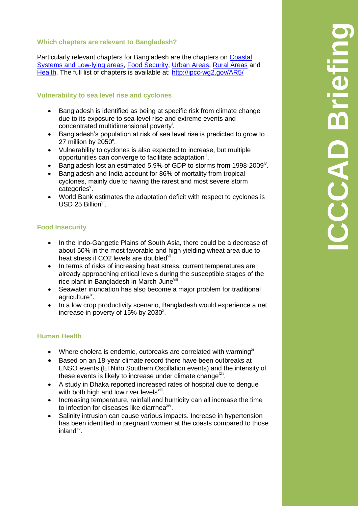### **Which chapters are relevant to Bangladesh?**

Particularly relevant chapters for Bangladesh are the chapters on [Coastal](http://ipcc-wg2.gov/AR5/images/uploads/WGIIAR5-Chap5_FGDall.pdf)  [Systems and Low-lying areas,](http://ipcc-wg2.gov/AR5/images/uploads/WGIIAR5-Chap5_FGDall.pdf) [Food Security,](http://ipcc-wg2.gov/AR5/images/uploads/WGIIAR5-Chap7_FGDall.pdf) [Urban Areas,](http://ipcc-wg2.gov/AR5/images/uploads/WGIIAR5-Chap8_FGDall.pdf) [Rural Areas](http://ipcc-wg2.gov/AR5/images/uploads/WGIIAR5-Chap9_FGDall.pdf) and [Health.](http://ipcc-wg2.gov/AR5/images/uploads/WGIIAR5-Chap11_FGDall.pdf) The full list of chapters is available at:<http://ipcc-wg2.gov/AR5/>

# **Vulnerability to sea level rise and cyclones**

- Bangladesh is identified as being at specific risk from climate change due to its exposure to sea-level rise and extreme events and concentrated multidimensional poverty<sup>i</sup>.
- Bangladesh's population at risk of sea level rise is predicted to grow to 27 million by 2050 $^{\text{ii}}$ .
- Vulnerability to cyclones is also expected to increase, but multiple opportunities can converge to facilitate adaptation<sup>ii</sup>.
- **Bangladesh lost an estimated 5.9% of GDP to storms from 1998-2009**<sup>iv</sup>.
- Bangladesh and India account for 86% of mortality from tropical cyclones, mainly due to having the rarest and most severe storm categories<sup>v</sup>.
- World Bank estimates the adaptation deficit with respect to cyclones is  $USD$  25 Billion<sup>vi</sup>.

# **Food Insecurity**

- In the Indo-Gangetic Plains of South Asia, there could be a decrease of about 50% in the most favorable and high yielding wheat area due to heat stress if CO2 levels are doubled<sup>vii</sup>.
- In terms of risks of increasing heat stress, current temperatures are already approaching critical levels during the susceptible stages of the rice plant in Bangladesh in March-June<sup>viii</sup>.
- Seawater inundation has also become a major problem for traditional agriculture<sup>ix</sup>.
- In a low crop productivity scenario, Bangladesh would experience a net increase in poverty of  $15\%$  by 2030<sup>x</sup>.

#### **Human Health**

- Where cholera is endemic, outbreaks are correlated with warming<sup>xi</sup>.
- Based on an 18-year climate record there have been outbreaks at ENSO events (El Niño Southern Oscillation events) and the intensity of these events is likely to increase under climate change<sup>xii</sup>.
- A study in Dhaka reported increased rates of hospital due to dengue with both high and low river levels<sup>xiii</sup>.
- Increasing temperature, rainfall and humidity can all increase the time to infection for diseases like diarrhea<sup>xiv</sup>.
- Salinity intrusion can cause various impacts. Increase in hypertension has been identified in pregnant women at the coasts compared to those inland<sup>xv</sup>.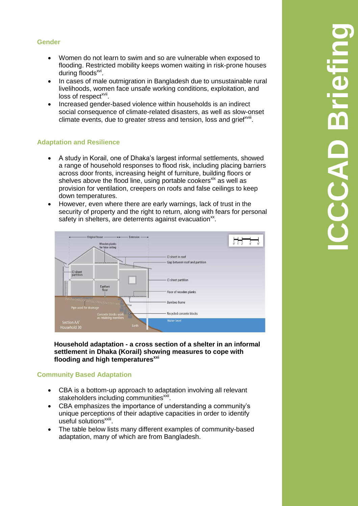#### **Gender**

- Women do not learn to swim and so are vulnerable when exposed to flooding. Restricted mobility keeps women waiting in risk-prone houses during floods<sup>xvi</sup>.
- In cases of male outmigration in Bangladesh due to unsustainable rural livelihoods, women face unsafe working conditions, exploitation, and loss of respect<sup>xvii</sup>.
- Increased gender-based violence within households is an indirect social consequence of climate-related disasters, as well as slow-onset climate events, due to greater stress and tension, loss and grief<sup>xviii</sup>.

#### **Adaptation and Resilience**

- A study in Korail, one of Dhaka's largest informal settlements, showed a range of household responses to flood risk, including placing barriers across door fronts, increasing height of furniture, building floors or shelves above the flood line, using portable cookers<sup>xix</sup> as well as provision for ventilation, creepers on roofs and false ceilings to keep down temperatures.
- However, even where there are early warnings, lack of trust in the security of property and the right to return, along with fears for personal safety in shelters, are deterrents against evacuation<sup>xx</sup>.



**Household adaptation - a cross section of a shelter in an informal settlement in Dhaka (Korail) showing measures to cope with flooding and high temperaturesxxi**

#### **Community Based Adaptation**

- CBA is a bottom-up approach to adaptation involving all relevant stakeholders including communities<sup>xxii</sup>.
- CBA emphasizes the importance of understanding a community's unique perceptions of their adaptive capacities in order to identify useful solutionsxxiii.
- The table below lists many different examples of community-based adaptation, many of which are from Bangladesh.